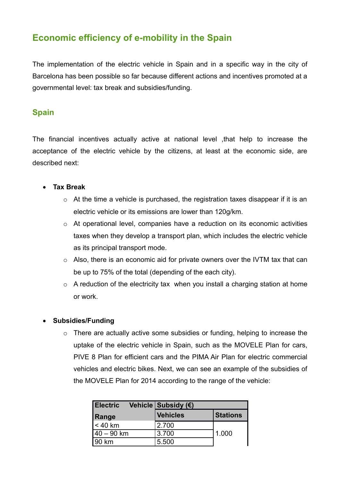# **Economic efficiency of e-mobility in the Spain**

The implementation of the electric vehicle in Spain and in a specific way in the city of Barcelona has been possible so far because different actions and incentives promoted at a governmental level: tax break and subsidies/funding.

### **Spain**

The financial incentives actually active at national level ,that help to increase the acceptance of the electric vehicle by the citizens, at least at the economic side, are described next:

#### **Tax Break**

- o At the time a vehicle is purchased, the registration taxes disappear if it is an electric vehicle or its emissions are lower than 120g/km.
- o At operational level, companies have a reduction on its economic activities taxes when they develop a transport plan, which includes the electric vehicle as its principal transport mode.
- o Also, there is an economic aid for private owners over the IVTM tax that can be up to 75% of the total (depending of the each city).
- $\circ$  A reduction of the electricity tax when you install a charging station at home or work.

#### **Subsidies/Funding**

o There are actually active some subsidies or funding, helping to increase the uptake of the electric vehicle in Spain, such as the MOVELE Plan for cars, PIVE 8 Plan for efficient cars and the PIMA Air Plan for electric commercial vehicles and electric bikes. Next, we can see an example of the subsidies of the MOVELE Plan for 2014 according to the range of the vehicle:

| <b>Electric</b> | Vehicle Subsidy (€) |                 |
|-----------------|---------------------|-----------------|
| <b>Range</b>    | Vehicles            | <b>Stations</b> |
| < 40 km         | 2.700               |                 |
| 40 – 90 km      | 3.700               | 1.000           |
| 190 km          | 5.500               |                 |